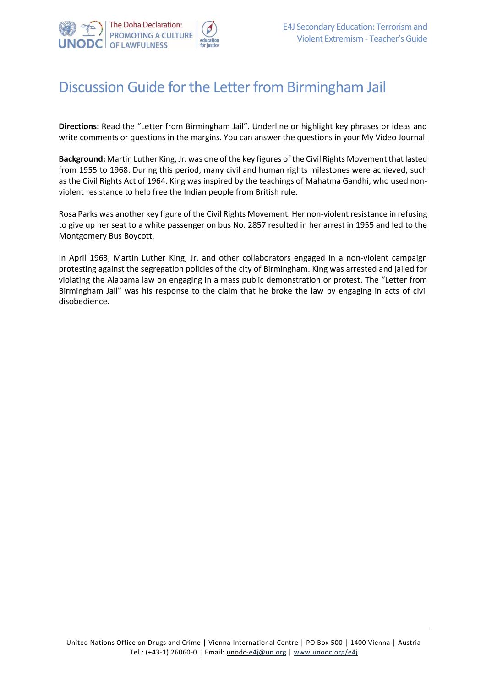

## Discussion Guide for the Letter from Birmingham Jail

**Directions:** Read the "Letter from Birmingham Jail". Underline or highlight key phrases or ideas and write comments or questions in the margins. You can answer the questions in your My Video Journal.

**Background:** Martin Luther King, Jr. was one of the key figures of the Civil Rights Movement that lasted from 1955 to 1968. During this period, many civil and human rights milestones were achieved, such as the Civil Rights Act of 1964. King was inspired by the teachings of Mahatma Gandhi, who used nonviolent resistance to help free the Indian people from British rule.

Rosa Parks was another key figure of the Civil Rights Movement. Her non-violent resistance in refusing to give up her seat to a white passenger on bus No. 2857 resulted in her arrest in 1955 and led to the Montgomery Bus Boycott.

In April 1963, Martin Luther King, Jr. and other collaborators engaged in a non-violent campaign protesting against the segregation policies of the city of Birmingham. King was arrested and jailed for violating the Alabama law on engaging in a mass public demonstration or protest. The "Letter from Birmingham Jail" was his response to the claim that he broke the law by engaging in acts of civil disobedience.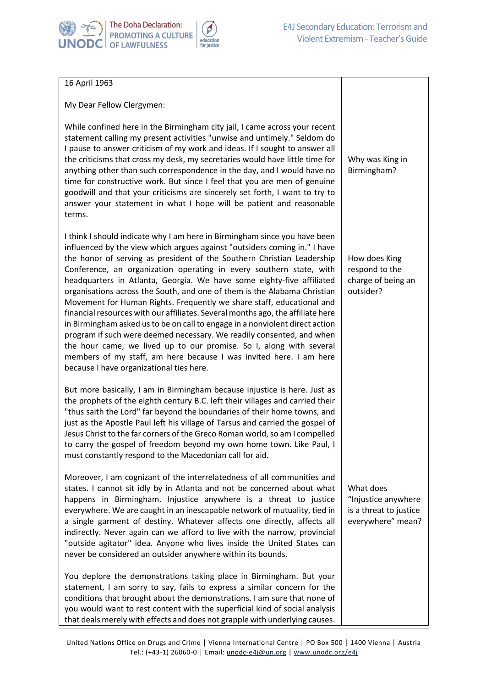

## 16 April 1963

My Dear Fellow Clergymen:

While confined here in the Birmingham city jail, I came across your recent statement calling my present activities "unwise and untimely." Seldom do I pause to answer criticism of my work and ideas. If I sought to answer all the criticisms that cross my desk, my secretaries would have little time for anything other than such correspondence in the day, and I would have no time for constructive work. But since I feel that you are men of genuine goodwill and that your criticisms are sincerely set forth, I want to try to answer your statement in what I hope will be patient and reasonable terms.

I think I should indicate why I am here in Birmingham since you have been influenced by the view which argues against "outsiders coming in." I have the honor of serving as president of the Southern Christian Leadership Conference, an organization operating in every southern state, with headquarters in Atlanta, Georgia. We have some eighty-five affiliated organisations across the South, and one of them is the Alabama Christian Movement for Human Rights. Frequently we share staff, educational and financial resources with our affiliates. Several months ago, the affiliate here in Birmingham asked us to be on call to engage in a nonviolent direct action program if such were deemed necessary. We readily consented, and when the hour came, we lived up to our promise. So I, along with several members of my staff, am here because I was invited here. I am here because I have organizational ties here.

But more basically, I am in Birmingham because injustice is here. Just as the prophets of the eighth century B.C. left their villages and carried their "thus saith the Lord" far beyond the boundaries of their home towns, and just as the Apostle Paul left his village of Tarsus and carried the gospel of Jesus Christ to the far corners of the Greco Roman world, so am I compelled to carry the gospel of freedom beyond my own home town. Like Paul, I must constantly respond to the Macedonian call for aid.

Moreover, I am cognizant of the interrelatedness of all communities and states. I cannot sit idly by in Atlanta and not be concerned about what happens in Birmingham. Injustice anywhere is a threat to justice everywhere. We are caught in an inescapable network of mutuality, tied in a single garment of destiny. Whatever affects one directly, affects all indirectly. Never again can we afford to live with the narrow, provincial "outside agitator" idea. Anyone who lives inside the United States can never be considered an outsider anywhere within its bounds.

You deplore the demonstrations taking place in Birmingham. But your statement, I am sorry to say, fails to express a similar concern for the conditions that brought about the demonstrations. I am sure that none of you would want to rest content with the superficial kind of social analysis that deals merely with effects and does not grapple with underlying causes.

Why was King in Birmingham?

How does King respond to the charge of being an outsider?

What does "Injustice anywhere is a threat to justice everywhere" mean?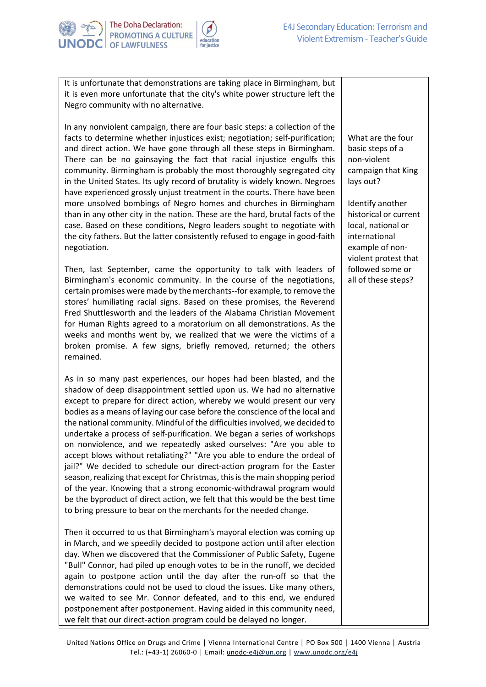

It is unfortunate that demonstrations are taking place in Birmingham, but it is even more unfortunate that the city's white power structure left the Negro community with no alternative.

In any nonviolent campaign, there are four basic steps: a collection of the facts to determine whether injustices exist; negotiation; self-purification; and direct action. We have gone through all these steps in Birmingham. There can be no gainsaying the fact that racial injustice engulfs this community. Birmingham is probably the most thoroughly segregated city in the United States. Its ugly record of brutality is widely known. Negroes have experienced grossly unjust treatment in the courts. There have been more unsolved bombings of Negro homes and churches in Birmingham than in any other city in the nation. These are the hard, brutal facts of the case. Based on these conditions, Negro leaders sought to negotiate with the city fathers. But the latter consistently refused to engage in good-faith negotiation.

Then, last September, came the opportunity to talk with leaders of Birmingham's economic community. In the course of the negotiations, certain promises were made by the merchants--for example, to remove the stores' humiliating racial signs. Based on these promises, the Reverend Fred Shuttlesworth and the leaders of the Alabama Christian Movement for Human Rights agreed to a moratorium on all demonstrations. As the weeks and months went by, we realized that we were the victims of a broken promise. A few signs, briefly removed, returned; the others remained.

As in so many past experiences, our hopes had been blasted, and the shadow of deep disappointment settled upon us. We had no alternative except to prepare for direct action, whereby we would present our very bodies as a means of laying our case before the conscience of the local and the national community. Mindful of the difficulties involved, we decided to undertake a process of self-purification. We began a series of workshops on nonviolence, and we repeatedly asked ourselves: "Are you able to accept blows without retaliating?" "Are you able to endure the ordeal of jail?" We decided to schedule our direct-action program for the Easter season, realizing that except for Christmas, this is the main shopping period of the year. Knowing that a strong economic-withdrawal program would be the byproduct of direct action, we felt that this would be the best time to bring pressure to bear on the merchants for the needed change.

Then it occurred to us that Birmingham's mayoral election was coming up in March, and we speedily decided to postpone action until after election day. When we discovered that the Commissioner of Public Safety, Eugene "Bull" Connor, had piled up enough votes to be in the runoff, we decided again to postpone action until the day after the run-off so that the demonstrations could not be used to cloud the issues. Like many others, we waited to see Mr. Connor defeated, and to this end, we endured postponement after postponement. Having aided in this community need, we felt that our direct-action program could be delayed no longer.

What are the four basic steps of a non-violent campaign that King lays out?

Identify another historical or current local, national or international example of nonviolent protest that followed some or all of these steps?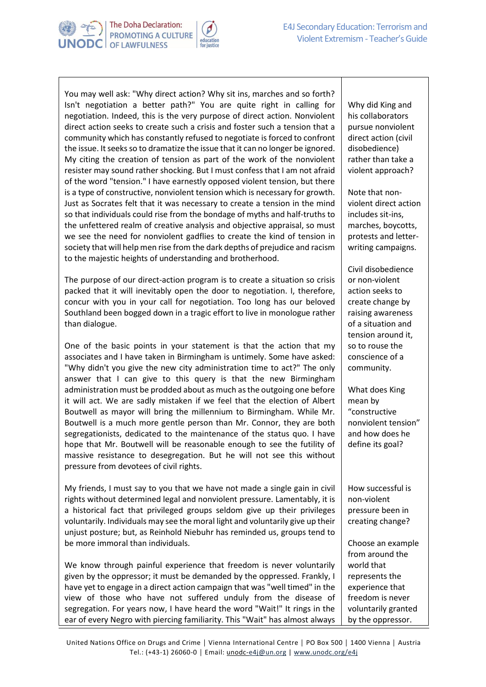

You may well ask: "Why direct action? Why sit ins, marches and so forth? Isn't negotiation a better path?" You are quite right in calling for negotiation. Indeed, this is the very purpose of direct action. Nonviolent direct action seeks to create such a crisis and foster such a tension that a community which has constantly refused to negotiate is forced to confront the issue. It seeks so to dramatize the issue that it can no longer be ignored. My citing the creation of tension as part of the work of the nonviolent resister may sound rather shocking. But I must confess that I am not afraid of the word "tension." I have earnestly opposed violent tension, but there is a type of constructive, nonviolent tension which is necessary for growth. Just as Socrates felt that it was necessary to create a tension in the mind so that individuals could rise from the bondage of myths and half-truths to the unfettered realm of creative analysis and objective appraisal, so must we see the need for nonviolent gadflies to create the kind of tension in society that will help men rise from the dark depths of prejudice and racism to the majestic heights of understanding and brotherhood.

The purpose of our direct-action program is to create a situation so crisis packed that it will inevitably open the door to negotiation. I, therefore, concur with you in your call for negotiation. Too long has our beloved Southland been bogged down in a tragic effort to live in monologue rather than dialogue.

One of the basic points in your statement is that the action that my associates and I have taken in Birmingham is untimely. Some have asked: "Why didn't you give the new city administration time to act?" The only answer that I can give to this query is that the new Birmingham administration must be prodded about as much as the outgoing one before it will act. We are sadly mistaken if we feel that the election of Albert Boutwell as mayor will bring the millennium to Birmingham. While Mr. Boutwell is a much more gentle person than Mr. Connor, they are both segregationists, dedicated to the maintenance of the status quo. I have hope that Mr. Boutwell will be reasonable enough to see the futility of massive resistance to desegregation. But he will not see this without pressure from devotees of civil rights.

My friends, I must say to you that we have not made a single gain in civil rights without determined legal and nonviolent pressure. Lamentably, it is a historical fact that privileged groups seldom give up their privileges voluntarily. Individuals may see the moral light and voluntarily give up their unjust posture; but, as Reinhold Niebuhr has reminded us, groups tend to be more immoral than individuals.

We know through painful experience that freedom is never voluntarily given by the oppressor; it must be demanded by the oppressed. Frankly, I have yet to engage in a direct action campaign that was "well timed" in the view of those who have not suffered unduly from the disease of segregation. For years now, I have heard the word "Wait!" It rings in the ear of every Negro with piercing familiarity. This "Wait" has almost always

Why did King and his collaborators pursue nonviolent direct action (civil disobedience) rather than take a violent approach?

Note that nonviolent direct action includes sit-ins, marches, boycotts, protests and letterwriting campaigns.

Civil disobedience or non-violent action seeks to create change by raising awareness of a situation and tension around it, so to rouse the conscience of a community.

What does King mean by "constructive nonviolent tension" and how does he define its goal?

How successful is non-violent pressure been in creating change?

Choose an example from around the world that represents the experience that freedom is never voluntarily granted by the oppressor.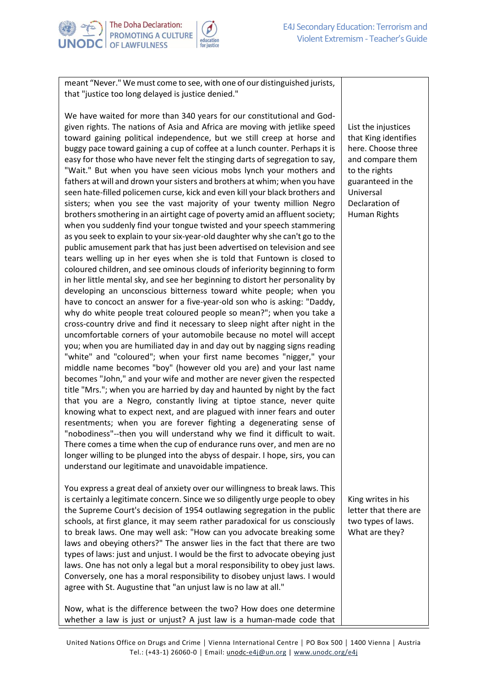

meant "Never." We must come to see, with one of our distinguished jurists, that "justice too long delayed is justice denied."

We have waited for more than 340 years for our constitutional and Godgiven rights. The nations of Asia and Africa are moving with jetlike speed toward gaining political independence, but we still creep at horse and buggy pace toward gaining a cup of coffee at a lunch counter. Perhaps it is easy for those who have never felt the stinging darts of segregation to say, "Wait." But when you have seen vicious mobs lynch your mothers and fathers at will and drown your sisters and brothers at whim; when you have seen hate-filled policemen curse, kick and even kill your black brothers and sisters; when you see the vast majority of your twenty million Negro brothers smothering in an airtight cage of poverty amid an affluent society; when you suddenly find your tongue twisted and your speech stammering as you seek to explain to your six-year-old daughter why she can't go to the public amusement park that has just been advertised on television and see tears welling up in her eyes when she is told that Funtown is closed to coloured children, and see ominous clouds of inferiority beginning to form in her little mental sky, and see her beginning to distort her personality by developing an unconscious bitterness toward white people; when you have to concoct an answer for a five-year-old son who is asking: "Daddy, why do white people treat coloured people so mean?"; when you take a cross-country drive and find it necessary to sleep night after night in the uncomfortable corners of your automobile because no motel will accept you; when you are humiliated day in and day out by nagging signs reading "white" and "coloured"; when your first name becomes "nigger," your middle name becomes "boy" (however old you are) and your last name becomes "John," and your wife and mother are never given the respected title "Mrs."; when you are harried by day and haunted by night by the fact that you are a Negro, constantly living at tiptoe stance, never quite knowing what to expect next, and are plagued with inner fears and outer resentments; when you are forever fighting a degenerating sense of "nobodiness"--then you will understand why we find it difficult to wait. There comes a time when the cup of endurance runs over, and men are no longer willing to be plunged into the abyss of despair. I hope, sirs, you can understand our legitimate and unavoidable impatience.

You express a great deal of anxiety over our willingness to break laws. This is certainly a legitimate concern. Since we so diligently urge people to obey the Supreme Court's decision of 1954 outlawing segregation in the public schools, at first glance, it may seem rather paradoxical for us consciously to break laws. One may well ask: "How can you advocate breaking some laws and obeying others?" The answer lies in the fact that there are two types of laws: just and unjust. I would be the first to advocate obeying just laws. One has not only a legal but a moral responsibility to obey just laws. Conversely, one has a moral responsibility to disobey unjust laws. I would agree with St. Augustine that "an unjust law is no law at all."

Now, what is the difference between the two? How does one determine whether a law is just or unjust? A just law is a human-made code that

List the injustices that King identifies here. Choose three and compare them to the rights guaranteed in the Universal Declaration of Human Rights

King writes in his letter that there are two types of laws. What are they?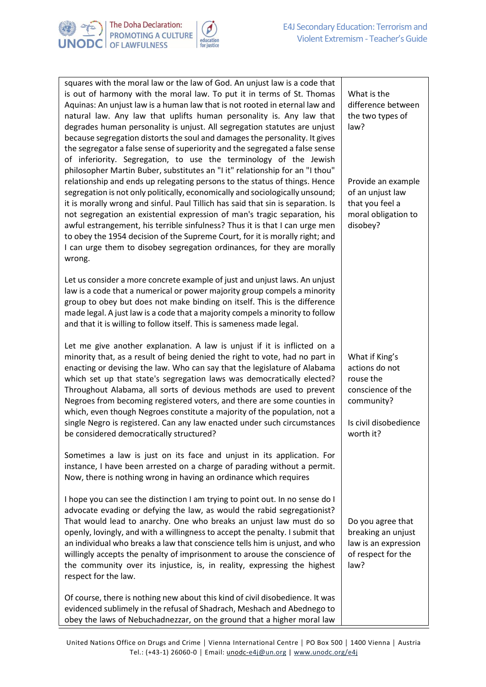

squares with the moral law or the law of God. An unjust law is a code that is out of harmony with the moral law. To put it in terms of St. Thomas Aquinas: An unjust law is a human law that is not rooted in eternal law and natural law. Any law that uplifts human personality is. Any law that degrades human personality is unjust. All segregation statutes are unjust because segregation distorts the soul and damages the personality. It gives the segregator a false sense of superiority and the segregated a false sense of inferiority. Segregation, to use the terminology of the Jewish philosopher Martin Buber, substitutes an "I it" relationship for an "I thou" relationship and ends up relegating persons to the status of things. Hence segregation is not only politically, economically and sociologically unsound; it is morally wrong and sinful. Paul Tillich has said that sin is separation. Is not segregation an existential expression of man's tragic separation, his awful estrangement, his terrible sinfulness? Thus it is that I can urge men to obey the 1954 decision of the Supreme Court, for it is morally right; and I can urge them to disobey segregation ordinances, for they are morally wrong.

Let us consider a more concrete example of just and unjust laws. An unjust law is a code that a numerical or power majority group compels a minority group to obey but does not make binding on itself. This is the difference made legal. A just law is a code that a majority compels a minority to follow and that it is willing to follow itself. This is sameness made legal.

Let me give another explanation. A law is unjust if it is inflicted on a minority that, as a result of being denied the right to vote, had no part in enacting or devising the law. Who can say that the legislature of Alabama which set up that state's segregation laws was democratically elected? Throughout Alabama, all sorts of devious methods are used to prevent Negroes from becoming registered voters, and there are some counties in which, even though Negroes constitute a majority of the population, not a single Negro is registered. Can any law enacted under such circumstances be considered democratically structured?

Sometimes a law is just on its face and unjust in its application. For instance, I have been arrested on a charge of parading without a permit. Now, there is nothing wrong in having an ordinance which requires

I hope you can see the distinction I am trying to point out. In no sense do I advocate evading or defying the law, as would the rabid segregationist? That would lead to anarchy. One who breaks an unjust law must do so openly, lovingly, and with a willingness to accept the penalty. I submit that an individual who breaks a law that conscience tells him is unjust, and who willingly accepts the penalty of imprisonment to arouse the conscience of the community over its injustice, is, in reality, expressing the highest respect for the law.

Of course, there is nothing new about this kind of civil disobedience. It was evidenced sublimely in the refusal of Shadrach, Meshach and Abednego to obey the laws of Nebuchadnezzar, on the ground that a higher moral law

What is the difference between the two types of law?

Provide an example of an unjust law that you feel a moral obligation to disobey?

What if King's actions do not rouse the conscience of the community?

Is civil disobedience worth it?

Do you agree that breaking an unjust law is an expression of respect for the law?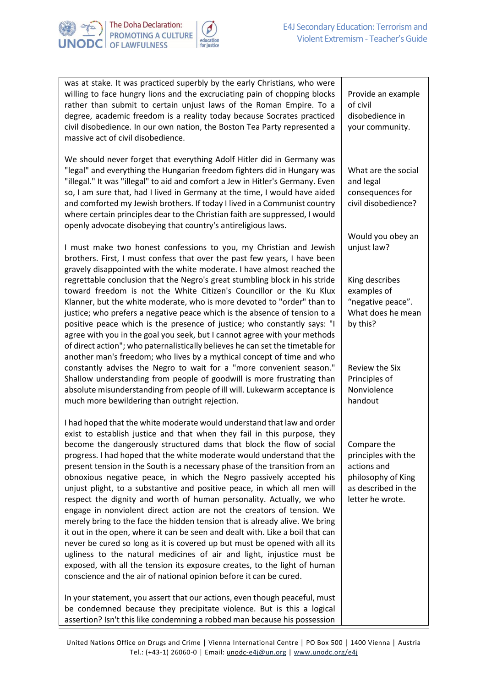

was at stake. It was practiced superbly by the early Christians, who were willing to face hungry lions and the excruciating pain of chopping blocks rather than submit to certain unjust laws of the Roman Empire. To a degree, academic freedom is a reality today because Socrates practiced civil disobedience. In our own nation, the Boston Tea Party represented a massive act of civil disobedience. We should never forget that everything Adolf Hitler did in Germany was "legal" and everything the Hungarian freedom fighters did in Hungary was "illegal." It was "illegal" to aid and comfort a Jew in Hitler's Germany. Even so, I am sure that, had I lived in Germany at the time, I would have aided and comforted my Jewish brothers. If today I lived in a Communist country where certain principles dear to the Christian faith are suppressed, I would openly advocate disobeying that country's antireligious laws. I must make two honest confessions to you, my Christian and Jewish brothers. First, I must confess that over the past few years, I have been gravely disappointed with the white moderate. I have almost reached the regrettable conclusion that the Negro's great stumbling block in his stride toward freedom is not the White Citizen's Councillor or the Ku Klux Klanner, but the white moderate, who is more devoted to "order" than to justice; who prefers a negative peace which is the absence of tension to a positive peace which is the presence of justice; who constantly says: "I agree with you in the goal you seek, but I cannot agree with your methods of direct action"; who paternalistically believes he can set the timetable for another man's freedom; who lives by a mythical concept of time and who constantly advises the Negro to wait for a "more convenient season." Shallow understanding from people of goodwill is more frustrating than absolute misunderstanding from people of ill will. Lukewarm acceptance is much more bewildering than outright rejection. I had hoped that the white moderate would understand that law and order exist to establish justice and that when they fail in this purpose, they become the dangerously structured dams that block the flow of social progress. I had hoped that the white moderate would understand that the present tension in the South is a necessary phase of the transition from an obnoxious negative peace, in which the Negro passively accepted his unjust plight, to a substantive and positive peace, in which all men will respect the dignity and worth of human personality. Actually, we who engage in nonviolent direct action are not the creators of tension. We merely bring to the face the hidden tension that is already alive. We bring it out in the open, where it can be seen and dealt with. Like a boil that can never be cured so long as it is covered up but must be opened with all its ugliness to the natural medicines of air and light, injustice must be exposed, with all the tension its exposure creates, to the light of human conscience and the air of national opinion before it can be cured. In your statement, you assert that our actions, even though peaceful, must be condemned because they precipitate violence. But is this a logical assertion? Isn't this like condemning a robbed man because his possession Provide an example of civil disobedience in your community. What are the social and legal consequences for civil disobedience? Would you obey an unjust law? King describes examples of "negative peace". What does he mean by this? Review the Six Principles of Nonviolence handout Compare the principles with the actions and philosophy of King as described in the letter he wrote.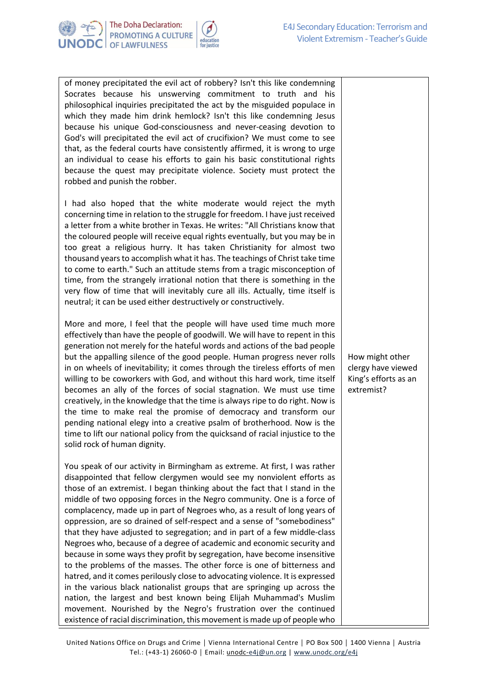

of money precipitated the evil act of robbery? Isn't this like condemning Socrates because his unswerving commitment to truth and his philosophical inquiries precipitated the act by the misguided populace in which they made him drink hemlock? Isn't this like condemning Jesus because his unique God-consciousness and never-ceasing devotion to God's will precipitated the evil act of crucifixion? We must come to see that, as the federal courts have consistently affirmed, it is wrong to urge an individual to cease his efforts to gain his basic constitutional rights because the quest may precipitate violence. Society must protect the robbed and punish the robber.

I had also hoped that the white moderate would reject the myth concerning time in relation to the struggle for freedom. I have just received a letter from a white brother in Texas. He writes: "All Christians know that the coloured people will receive equal rights eventually, but you may be in too great a religious hurry. It has taken Christianity for almost two thousand yearsto accomplish what it has. The teachings of Christ take time to come to earth." Such an attitude stems from a tragic misconception of time, from the strangely irrational notion that there is something in the very flow of time that will inevitably cure all ills. Actually, time itself is neutral; it can be used either destructively or constructively.

More and more, I feel that the people will have used time much more effectively than have the people of goodwill. We will have to repent in this generation not merely for the hateful words and actions of the bad people but the appalling silence of the good people. Human progress never rolls in on wheels of inevitability; it comes through the tireless efforts of men willing to be coworkers with God, and without this hard work, time itself becomes an ally of the forces of social stagnation. We must use time creatively, in the knowledge that the time is always ripe to do right. Now is the time to make real the promise of democracy and transform our pending national elegy into a creative psalm of brotherhood. Now is the time to lift our national policy from the quicksand of racial injustice to the solid rock of human dignity.

You speak of our activity in Birmingham as extreme. At first, I was rather disappointed that fellow clergymen would see my nonviolent efforts as those of an extremist. I began thinking about the fact that I stand in the middle of two opposing forces in the Negro community. One is a force of complacency, made up in part of Negroes who, as a result of long years of oppression, are so drained of self-respect and a sense of "somebodiness" that they have adjusted to segregation; and in part of a few middle-class Negroes who, because of a degree of academic and economic security and because in some ways they profit by segregation, have become insensitive to the problems of the masses. The other force is one of bitterness and hatred, and it comes perilously close to advocating violence. It is expressed in the various black nationalist groups that are springing up across the nation, the largest and best known being Elijah Muhammad's Muslim movement. Nourished by the Negro's frustration over the continued existence of racial discrimination, this movement is made up of people who

How might other clergy have viewed King's efforts as an extremist?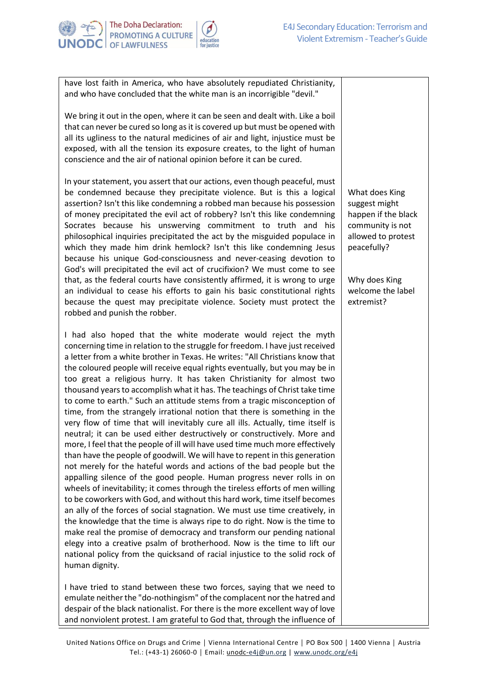

have lost faith in America, who have absolutely repudiated Christianity, and who have concluded that the white man is an incorrigible "devil."

We bring it out in the open, where it can be seen and dealt with. Like a boil that can never be cured so long as it is covered up but must be opened with all its ugliness to the natural medicines of air and light, injustice must be exposed, with all the tension its exposure creates, to the light of human conscience and the air of national opinion before it can be cured.

In your statement, you assert that our actions, even though peaceful, must be condemned because they precipitate violence. But is this a logical assertion? Isn't this like condemning a robbed man because his possession of money precipitated the evil act of robbery? Isn't this like condemning Socrates because his unswerving commitment to truth and his philosophical inquiries precipitated the act by the misguided populace in which they made him drink hemlock? Isn't this like condemning Jesus because his unique God-consciousness and never-ceasing devotion to God's will precipitated the evil act of crucifixion? We must come to see that, as the federal courts have consistently affirmed, it is wrong to urge an individual to cease his efforts to gain his basic constitutional rights because the quest may precipitate violence. Society must protect the robbed and punish the robber.

I had also hoped that the white moderate would reject the myth concerning time in relation to the struggle for freedom. I have just received a letter from a white brother in Texas. He writes: "All Christians know that the coloured people will receive equal rights eventually, but you may be in too great a religious hurry. It has taken Christianity for almost two thousand years to accomplish what it has. The teachings of Christ take time to come to earth." Such an attitude stems from a tragic misconception of time, from the strangely irrational notion that there is something in the very flow of time that will inevitably cure all ills. Actually, time itself is neutral; it can be used either destructively or constructively. More and more, I feel that the people of ill will have used time much more effectively than have the people of goodwill. We will have to repent in this generation not merely for the hateful words and actions of the bad people but the appalling silence of the good people. Human progress never rolls in on wheels of inevitability; it comes through the tireless efforts of men willing to be coworkers with God, and without this hard work, time itself becomes an ally of the forces of social stagnation. We must use time creatively, in the knowledge that the time is always ripe to do right. Now is the time to make real the promise of democracy and transform our pending national elegy into a creative psalm of brotherhood. Now is the time to lift our national policy from the quicksand of racial injustice to the solid rock of human dignity.

I have tried to stand between these two forces, saying that we need to emulate neither the "do-nothingism" of the complacent nor the hatred and despair of the black nationalist. For there is the more excellent way of love and nonviolent protest. I am grateful to God that, through the influence of What does King suggest might happen if the black community is not allowed to protest peacefully?

Why does King welcome the label extremist?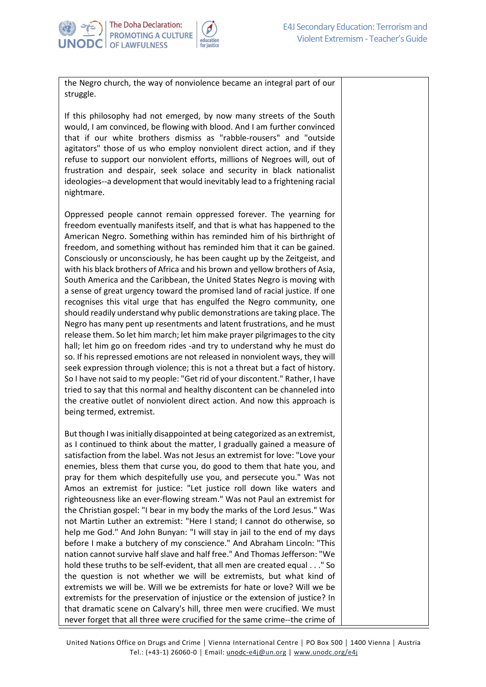

the Negro church, the way of nonviolence became an integral part of our struggle.

If this philosophy had not emerged, by now many streets of the South would, I am convinced, be flowing with blood. And I am further convinced that if our white brothers dismiss as "rabble-rousers" and "outside agitators" those of us who employ nonviolent direct action, and if they refuse to support our nonviolent efforts, millions of Negroes will, out of frustration and despair, seek solace and security in black nationalist ideologies--a development that would inevitably lead to a frightening racial nightmare.

Oppressed people cannot remain oppressed forever. The yearning for freedom eventually manifests itself, and that is what has happened to the American Negro. Something within has reminded him of his birthright of freedom, and something without has reminded him that it can be gained. Consciously or unconsciously, he has been caught up by the Zeitgeist, and with his black brothers of Africa and his brown and yellow brothers of Asia, South America and the Caribbean, the United States Negro is moving with a sense of great urgency toward the promised land of racial justice. If one recognises this vital urge that has engulfed the Negro community, one should readily understand why public demonstrations are taking place. The Negro has many pent up resentments and latent frustrations, and he must release them. So let him march; let him make prayer pilgrimages to the city hall; let him go on freedom rides -and try to understand why he must do so. If his repressed emotions are not released in nonviolent ways, they will seek expression through violence; this is not a threat but a fact of history. So I have not said to my people: "Get rid of your discontent." Rather, I have tried to say that this normal and healthy discontent can be channeled into the creative outlet of nonviolent direct action. And now this approach is being termed, extremist.

But though I was initially disappointed at being categorized as an extremist, as I continued to think about the matter, I gradually gained a measure of satisfaction from the label. Was not Jesus an extremist for love: "Love your enemies, bless them that curse you, do good to them that hate you, and pray for them which despitefully use you, and persecute you." Was not Amos an extremist for justice: "Let justice roll down like waters and righteousness like an ever-flowing stream." Was not Paul an extremist for the Christian gospel: "I bear in my body the marks of the Lord Jesus." Was not Martin Luther an extremist: "Here I stand; I cannot do otherwise, so help me God." And John Bunyan: "I will stay in jail to the end of my days before I make a butchery of my conscience." And Abraham Lincoln: "This nation cannot survive half slave and half free." And Thomas Jefferson: "We hold these truths to be self-evident, that all men are created equal . . ." So the question is not whether we will be extremists, but what kind of extremists we will be. Will we be extremists for hate or love? Will we be extremists for the preservation of injustice or the extension of justice? In that dramatic scene on Calvary's hill, three men were crucified. We must never forget that all three were crucified for the same crime--the crime of